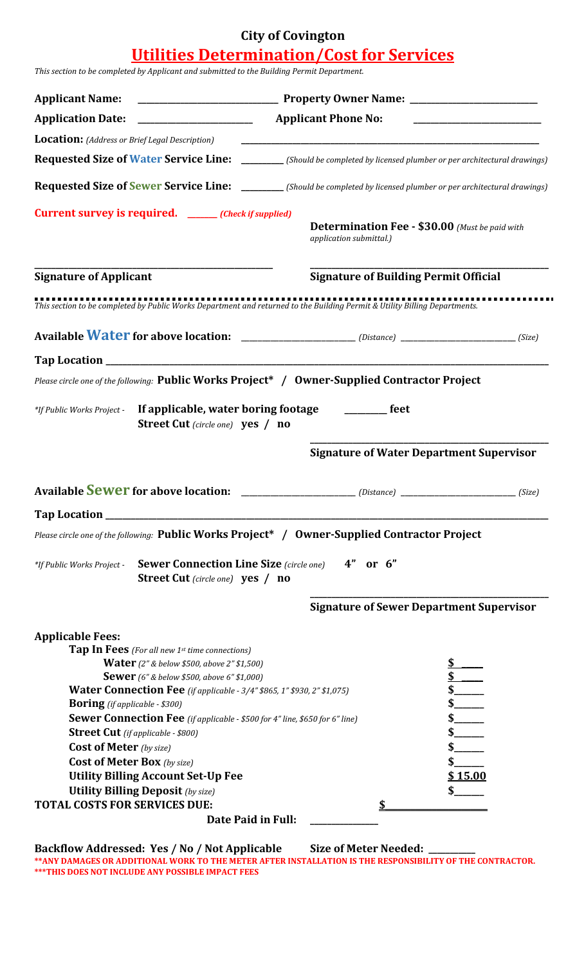## **City of Covington**

### **Utilities Determination/Cost for Services**

*This section to be completed by Applicant and submitted to the Building Permit Department.*

| <b>Applicant Name:</b>                                                                                                                                                                                                                                                                                                                                                                                                                                                                                                                                                                                                                                     |                                                                                                                                |
|------------------------------------------------------------------------------------------------------------------------------------------------------------------------------------------------------------------------------------------------------------------------------------------------------------------------------------------------------------------------------------------------------------------------------------------------------------------------------------------------------------------------------------------------------------------------------------------------------------------------------------------------------------|--------------------------------------------------------------------------------------------------------------------------------|
| <b>Application Date:</b>                                                                                                                                                                                                                                                                                                                                                                                                                                                                                                                                                                                                                                   | <b>Applicant Phone No:</b>                                                                                                     |
| <b>Location:</b> (Address or Brief Legal Description)                                                                                                                                                                                                                                                                                                                                                                                                                                                                                                                                                                                                      |                                                                                                                                |
| <b>Requested Size of Water Service Line:</b>                                                                                                                                                                                                                                                                                                                                                                                                                                                                                                                                                                                                               | [Should be completed by licensed plumber or per architectural drawings]                                                        |
|                                                                                                                                                                                                                                                                                                                                                                                                                                                                                                                                                                                                                                                            | <b>Requested Size of Sewer Service Line:</b> _________ (Should be completed by licensed plumber or per architectural drawings) |
| <b>Current survey is required.</b> ______(Check if supplied)                                                                                                                                                                                                                                                                                                                                                                                                                                                                                                                                                                                               | <b>Determination Fee - \$30.00</b> (Must be paid with<br>application submittal.)                                               |
| <b>Signature of Applicant</b>                                                                                                                                                                                                                                                                                                                                                                                                                                                                                                                                                                                                                              | <b>Signature of Building Permit Official</b>                                                                                   |
|                                                                                                                                                                                                                                                                                                                                                                                                                                                                                                                                                                                                                                                            | This section to be completed by Public Works Department and returned to the Building Permit & Utility Billing Departments.     |
|                                                                                                                                                                                                                                                                                                                                                                                                                                                                                                                                                                                                                                                            |                                                                                                                                |
|                                                                                                                                                                                                                                                                                                                                                                                                                                                                                                                                                                                                                                                            |                                                                                                                                |
|                                                                                                                                                                                                                                                                                                                                                                                                                                                                                                                                                                                                                                                            | Please circle one of the following: Public Works Project* / Owner-Supplied Contractor Project                                  |
| *If Public Works Project -<br><b>Street Cut</b> (circle one) <b>yes</b> / <b>no</b>                                                                                                                                                                                                                                                                                                                                                                                                                                                                                                                                                                        | If applicable, water boring footage ________ feet                                                                              |
|                                                                                                                                                                                                                                                                                                                                                                                                                                                                                                                                                                                                                                                            | <b>Signature of Water Department Supervisor</b>                                                                                |
|                                                                                                                                                                                                                                                                                                                                                                                                                                                                                                                                                                                                                                                            | (Size)                                                                                                                         |
| Tap Location _                                                                                                                                                                                                                                                                                                                                                                                                                                                                                                                                                                                                                                             |                                                                                                                                |
|                                                                                                                                                                                                                                                                                                                                                                                                                                                                                                                                                                                                                                                            | Please circle one of the following: Public Works Project* / Owner-Supplied Contractor Project                                  |
| <b>Sewer Connection Line Size</b> (circle one)<br>*If Public Works Project -<br><b>Street Cut</b> (circle one) <b>yes</b> / <b>no</b>                                                                                                                                                                                                                                                                                                                                                                                                                                                                                                                      | 4"<br>or $6"$                                                                                                                  |
|                                                                                                                                                                                                                                                                                                                                                                                                                                                                                                                                                                                                                                                            | <b>Signature of Sewer Department Supervisor</b>                                                                                |
| <b>Applicable Fees:</b><br><b>Tap In Fees</b> (For all new 1st time connections)<br><b>Water</b> (2" & below \$500, above 2" \$1,500)<br><b>Sewer</b> (6" & below \$500, above 6" \$1,000)<br><b>Water Connection Fee</b> (if applicable - 3/4" \$865, 1" \$930, 2" \$1,075)<br><b>Boring</b> (if applicable - \$300)<br>Sewer Connection Fee (if applicable - \$500 for 4" line, \$650 for 6" line)<br><b>Street Cut</b> (if applicable - \$800)<br><b>Cost of Meter</b> (by size)<br><b>Cost of Meter Box</b> (by size)<br><b>Utility Billing Account Set-Up Fee</b><br><b>Utility Billing Deposit</b> (by size)<br><b>TOTAL COSTS FOR SERVICES DUE:</b> | \$15.00<br>Date Paid in Full:                                                                                                  |
|                                                                                                                                                                                                                                                                                                                                                                                                                                                                                                                                                                                                                                                            |                                                                                                                                |
| Backflow Addressed: Yes / No / Not Applicable                                                                                                                                                                                                                                                                                                                                                                                                                                                                                                                                                                                                              | <b>Size of Meter Needed:</b>                                                                                                   |

**\*\*ANY DAMAGES OR ADDITIONAL WORK TO THE METER AFTER INSTALLATION IS THE RESPONSIBILITY OF THE CONTRACTOR. \*\*\*THIS DOES NOT INCLUDE ANY POSSIBLE IMPACT FEES**